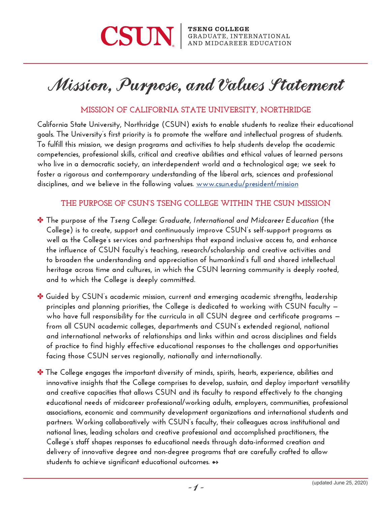

# Mission, Purpose, and Values Statement

## **MISSION OF CALIFORNIA STATE UNIVERSITY, NORTHRIDGE**

**California State University, Northridge (CSUN) exists to enable students to realize their educational goals. The University's first priority is to promote the welfare and intellectual progress of students. To fulfill this mission, we design programs and activities to help students develop the academic competencies, professional skills, critical and creative abilities and ethical values of learned persons who live in a democratic society, an interdependent world and a technological age; we seek to foster a rigorous and contemporary understanding of the liberal arts, sciences and professional disciplines, and we believe in the following values. [www.csun.edu/president/mission](https://www.csun.edu/president/mission)**

#### **THE PURPOSE OF CSUN'S TSENG COLLEGE WITHIN THE CSUN MISSION**

- ✤ **The purpose of the** *Tseng College: Graduate, International and Midcareer Education* **(the College) is to create, support and continuously improve CSUN's self-support programs as well as the College's services and partnerships that expand inclusive access to, and enhance the influence of CSUN faculty's teaching, research/scholarship and creative activities and to broaden the understanding and appreciation of humankind's full and shared intellectual heritage across time and cultures, in which the CSUN learning community is deeply rooted, and to which the College is deeply committed.**
- ✤ **Guided by CSUN's academic mission, current and emerging academic strengths, leadership principles and planning priorities, the College is dedicated to working with CSUN faculty who have full responsibility for the curricula in all CSUN degree and certificate programs from all CSUN academic colleges, departments and CSUN's extended regional, national and international networks of relationships and links within and across disciplines and fields of practice to find highly effective educational responses to the challenges and opportunities facing those CSUN serves regionally, nationally and internationally.**
- ✤ **The College engages the important diversity of minds, spirits, hearts, experience, abilities and innovative insights that the College comprises to develop, sustain, and deploy important versatility and creative capacities that allows CSUN and its faculty to respond effectively to the changing educational needs of midcareer professional/working adults, employers, communities, professional associations, economic and community development organizations and international students and partners. Working collaboratively with CSUN's faculty, their colleagues across institutional and national lines, leading scholars and creative professional and accomplished practitioners, the College's staff shapes responses to educational needs through data-informed creation and delivery of innovative degree and non-degree programs that are carefully crafted to allow students to achieve significant educational outcomes.** ➻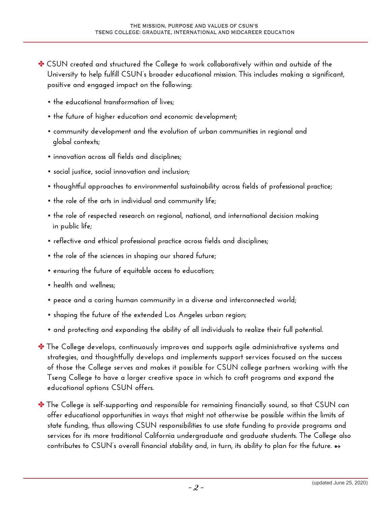- ✤ **CSUN created and structured the College to work collaboratively within and outside of the University to help fulfill CSUN's broader educational mission. This includes making a significant, positive and engaged impact on the following:** 
	- **the educational transformation of lives;**
	- **the future of higher education and economic development;**
	- **community development and the evolution of urban communities in regional and global contexts;**
	- **innovation across all fields and disciplines;**
	- **social justice, social innovation and inclusion;**
	- **thoughtful approaches to environmental sustainability across fields of professional practice;**
	- **the role of the arts in individual and community life;**
	- **the role of respected research on regional, national, and international decision making in public life;**
	- **reflective and ethical professional practice across fields and disciplines;**
	- **the role of the sciences in shaping our shared future;**
	- **ensuring the future of equitable access to education;**
	- **health and wellness;**
	- **peace and a caring human community in a diverse and interconnected world;**
	- **shaping the future of the extended Los Angeles urban region;**
	- **and protecting and expanding the ability of all individuals to realize their full potential.**
- ✤ **The College develops, continuously improves and supports agile administrative systems and strategies, and thoughtfully develops and implements support services focused on the success of those the College serves and makes it possible for CSUN college partners working with the Tseng College to have a larger creative space in which to craft programs and expand the educational options CSUN offers.**
- ✤ **The College is self-supporting and responsible for remaining financially sound, so that CSUN can offer educational opportunities in ways that might not otherwise be possible within the limits of state funding, thus allowing CSUN responsibilities to use state funding to provide programs and services for its more traditional California undergraduate and graduate students. The College also**  contributes to CSUN's overall financial stability and, in turn, its ability to plan for the future. →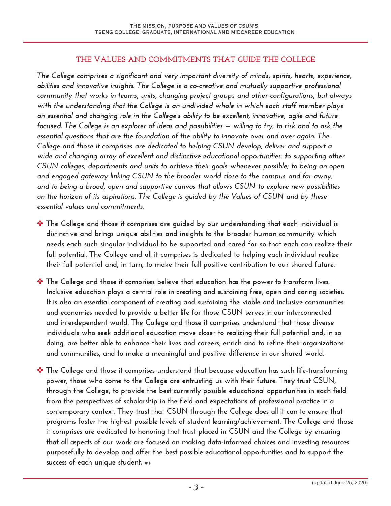#### **THE VALUES AND COMMITMENTS THAT GUIDE THE COLLEGE**

*The College comprises a significant and very important diversity of minds, spirits, hearts, experience, abilities and innovative insights. The College is a co-creative and mutually supportive professional community that works in teams, units, changing project groups and other configurations, but always with the understanding that the College is an undivided whole in which each staff member plays an essential and changing role in the College's ability to be excellent, innovative, agile and future focused. The College is an explorer of ideas and possibilities — willing to try, to risk and to ask the essential questions that are the foundation of the ability to innovate over and over again. The College and those it comprises are dedicated to helping CSUN develop, deliver and support a wide and changing array of excellent and distinctive educational opportunities; to supporting other CSUN colleges, departments and units to achieve their goals whenever possible; to being an open and engaged gateway linking CSUN to the broader world close to the campus and far away; and to being a broad, open and supportive canvas that allows CSUN to explore new possibilities on the horizon of its aspirations. The College is guided by the Values of CSUN and by these essential values and commitments.*

- ✤ **The College and those it comprises are guided by our understanding that each individual is distinctive and brings unique abilities and insights to the broader human community which needs each such singular individual to be supported and cared for so that each can realize their full potential. The College and all it comprises is dedicated to helping each individual realize their full potential and, in turn, to make their full positive contribution to our shared future.**
- ✤ **The College and those it comprises believe that education has the power to transform lives. Inclusive education plays a central role in creating and sustaining free, open and caring societies. It is also an essential component of creating and sustaining the viable and inclusive communities and economies needed to provide a better life for those CSUN serves in our interconnected and interdependent world. The College and those it comprises understand that those diverse individuals who seek additional education move closer to realizing their full potential and, in so doing, are better able to enhance their lives and careers, enrich and to refine their organizations and communities, and to make a meaningful and positive difference in our shared world.**
- ✤ **The College and those it comprises understand that because education has such life-transforming power, those who come to the College are entrusting us with their future. They trust CSUN, through the College, to provide the best currently possible educational opportunities in each field from the perspectives of scholarship in the field and expectations of professional practice in a contemporary context. They trust that CSUN through the College does all it can to ensure that programs foster the highest possible levels of student learning/achievement. The College and those it comprises are dedicated to honoring that trust placed in CSUN and the College by ensuring that all aspects of our work are focused on making data-informed choices and investing resources purposefully to develop and offer the best possible educational opportunities and to support the success of each unique student.** ➻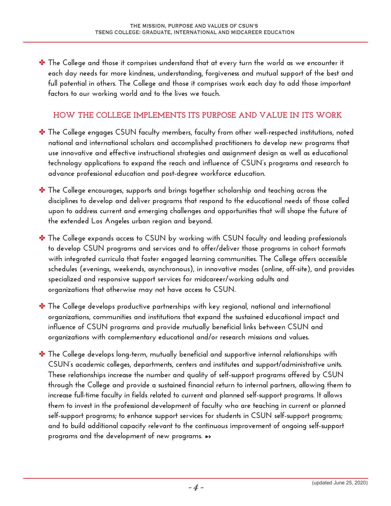✤ **The College and those it comprises understand that at every turn the world as we encounter it each day needs far more kindness, understanding, forgiveness and mutual support of the best and full potential in others. The College and those it comprises work each day to add those important factors to our working world and to the lives we touch.** 

### **HOW THE COLLEGE IMPLEMENTS ITS PURPOSE AND VALUE IN ITS WORK**

- ✤ **The College engages CSUN faculty members, faculty from other well-respected institutions, noted national and international scholars and accomplished practitioners to develop new programs that use innovative and effective instructional strategies and assignment design as well as educational technology applications to expand the reach and influence of CSUN's programs and research to advance professional education and post-degree workforce education.**
- ✤ **The College encourages, supports and brings together scholarship and teaching across the disciplines to develop and deliver programs that respond to the educational needs of those called upon to address current and emerging challenges and opportunities that will shape the future of the extended Los Angeles urban region and beyond.**
- ✤ **The College expands access to CSUN by working with CSUN faculty and leading professionals to develop CSUN programs and services and to offer/deliver those programs in cohort formats with integrated curricula that foster engaged learning communities. The College offers accessible schedules (evenings, weekends, asynchronous), in innovative modes (online, off-site), and provides specialized and responsive support services for midcareer/working adults and organizations that otherwise may not have access to CSUN.**
- ✤ **The College develops productive partnerships with key regional, national and international organizations, communities and institutions that expand the sustained educational impact and influence of CSUN programs and provide mutually beneficial links between CSUN and organizations with complementary educational and/or research missions and values.**
- ✤ **The College develops long-term, mutually beneficial and supportive internal relationships with CSUN's academic colleges, departments, centers and institutes and support/administrative units. These relationships increase the number and quality of self-support programs offered by CSUN through the College and provide a sustained financial return to internal partners, allowing them to increase full-time faculty in fields related to current and planned self-support programs. It allows them to invest in the professional development of faculty who are teaching in current or planned self-support programs; to enhance support services for students in CSUN self-support programs; and to build additional capacity relevant to the continuous improvement of ongoing self-support programs and the development of new programs.** ➻